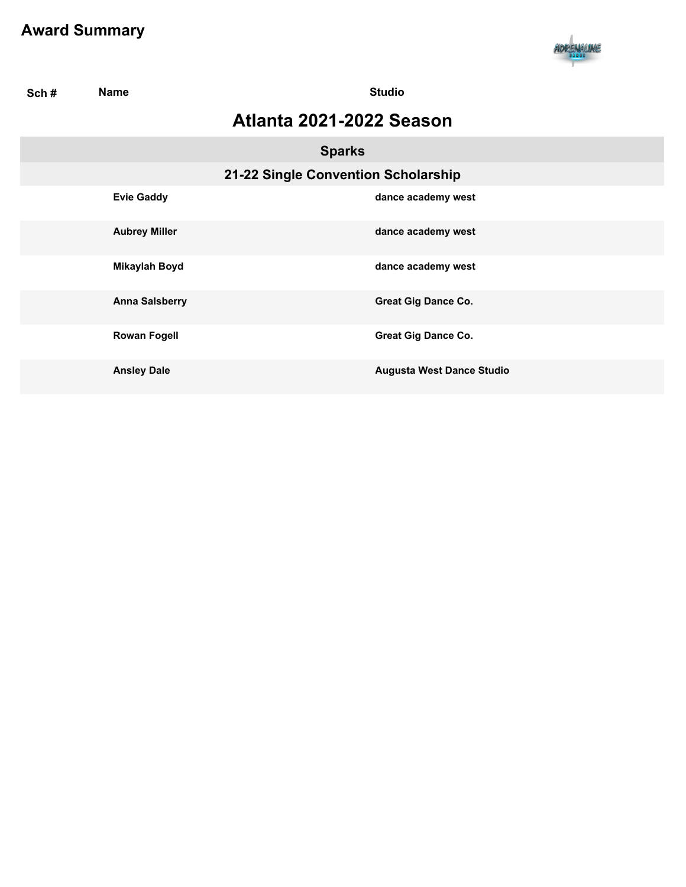

| Sch# | <b>Name</b>           | <b>Studio</b>                       |
|------|-----------------------|-------------------------------------|
|      |                       | Atlanta 2021-2022 Season            |
|      |                       | <b>Sparks</b>                       |
|      |                       | 21-22 Single Convention Scholarship |
|      | <b>Evie Gaddy</b>     | dance academy west                  |
|      | <b>Aubrey Miller</b>  | dance academy west                  |
|      | <b>Mikaylah Boyd</b>  | dance academy west                  |
|      | <b>Anna Salsberry</b> | <b>Great Gig Dance Co.</b>          |
|      | <b>Rowan Fogell</b>   | <b>Great Gig Dance Co.</b>          |
|      | <b>Ansley Dale</b>    | <b>Augusta West Dance Studio</b>    |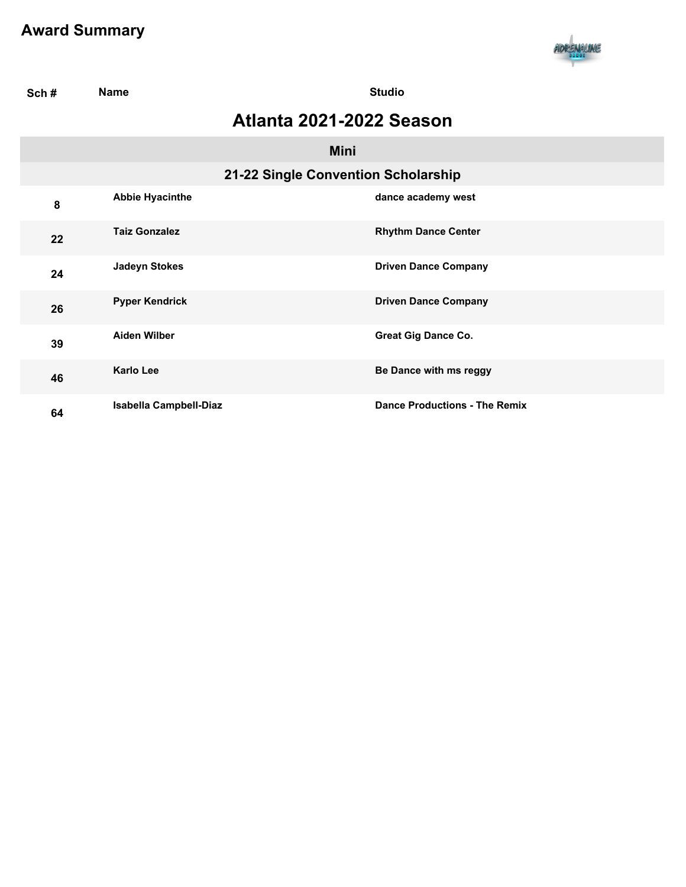

| Sch# | <b>Name</b>            | <b>Studio</b>                        |
|------|------------------------|--------------------------------------|
|      |                        | Atlanta 2021-2022 Season             |
|      |                        | <b>Mini</b>                          |
|      |                        | 21-22 Single Convention Scholarship  |
| 8    | <b>Abbie Hyacinthe</b> | dance academy west                   |
| 22   | <b>Taiz Gonzalez</b>   | <b>Rhythm Dance Center</b>           |
| 24   | <b>Jadeyn Stokes</b>   | <b>Driven Dance Company</b>          |
| 26   | <b>Pyper Kendrick</b>  | <b>Driven Dance Company</b>          |
| 39   | <b>Aiden Wilber</b>    | <b>Great Gig Dance Co.</b>           |
| 46   | <b>Karlo Lee</b>       | Be Dance with ms reggy               |
| 64   | Isabella Campbell-Diaz | <b>Dance Productions - The Remix</b> |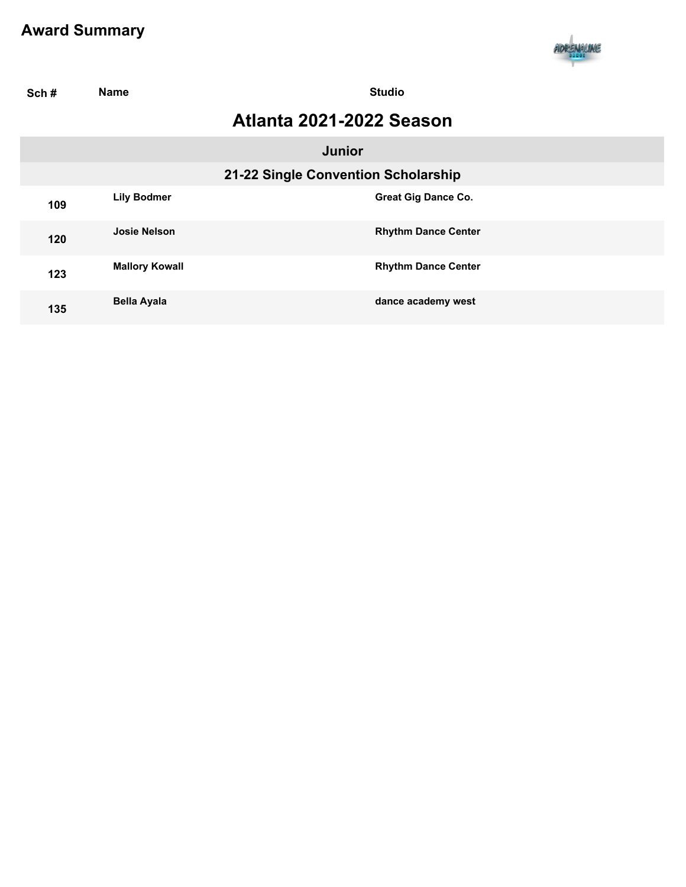

| Sch# | <b>Name</b>           | <b>Studio</b>                       |  |
|------|-----------------------|-------------------------------------|--|
|      |                       | Atlanta 2021-2022 Season            |  |
|      |                       | <b>Junior</b>                       |  |
|      |                       | 21-22 Single Convention Scholarship |  |
| 109  | <b>Lily Bodmer</b>    | <b>Great Gig Dance Co.</b>          |  |
| 120  | <b>Josie Nelson</b>   | <b>Rhythm Dance Center</b>          |  |
| 123  | <b>Mallory Kowall</b> | <b>Rhythm Dance Center</b>          |  |
| 135  | <b>Bella Ayala</b>    | dance academy west                  |  |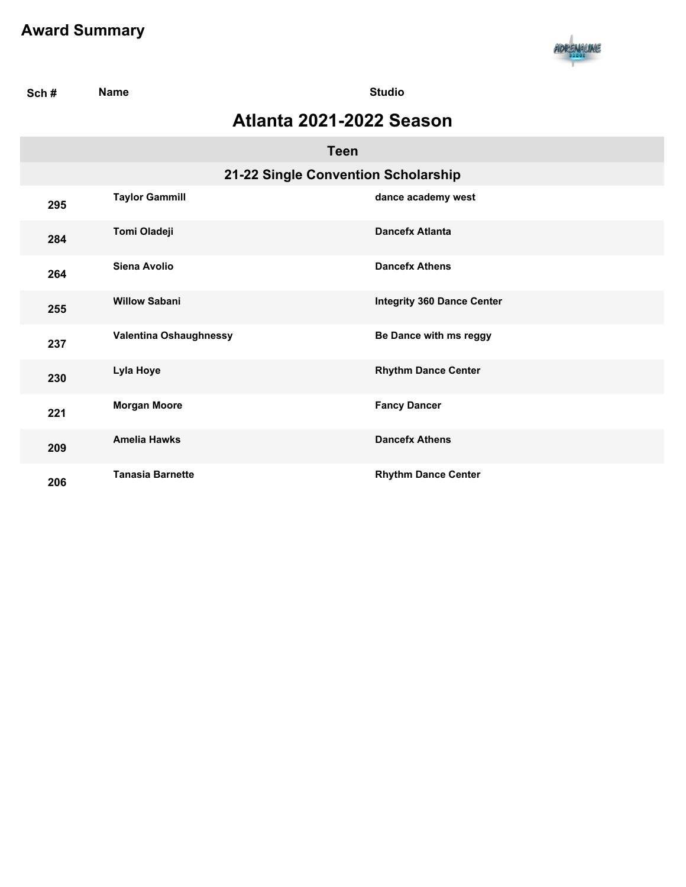

| Sch# | <b>Name</b>                         | <b>Studio</b>                     |
|------|-------------------------------------|-----------------------------------|
|      | Atlanta 2021-2022 Season            |                                   |
|      | <b>Teen</b>                         |                                   |
|      | 21-22 Single Convention Scholarship |                                   |
| 295  | <b>Taylor Gammill</b>               | dance academy west                |
| 284  | Tomi Oladeji                        | <b>Dancefx Atlanta</b>            |
| 264  | Siena Avolio                        | <b>Dancefx Athens</b>             |
| 255  | <b>Willow Sabani</b>                | <b>Integrity 360 Dance Center</b> |
| 237  | Valentina Oshaughnessy              | Be Dance with ms reggy            |
| 230  | Lyla Hoye                           | <b>Rhythm Dance Center</b>        |
| 221  | <b>Morgan Moore</b>                 | <b>Fancy Dancer</b>               |
| 209  | <b>Amelia Hawks</b>                 | <b>Dancefx Athens</b>             |
| 206  | <b>Tanasia Barnette</b>             | <b>Rhythm Dance Center</b>        |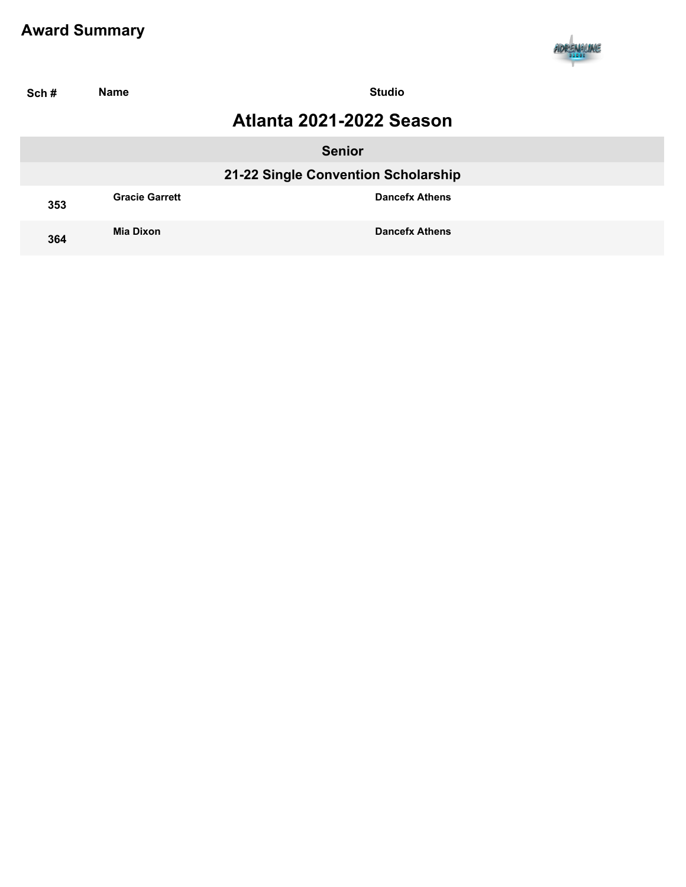

| Sch# | <b>Name</b>                         | <b>Studio</b>            |  |  |
|------|-------------------------------------|--------------------------|--|--|
|      |                                     | Atlanta 2021-2022 Season |  |  |
|      |                                     | <b>Senior</b>            |  |  |
|      | 21-22 Single Convention Scholarship |                          |  |  |
| 353  | <b>Gracie Garrett</b>               | <b>Dancefx Athens</b>    |  |  |
| 364  | <b>Mia Dixon</b>                    | <b>Dancefx Athens</b>    |  |  |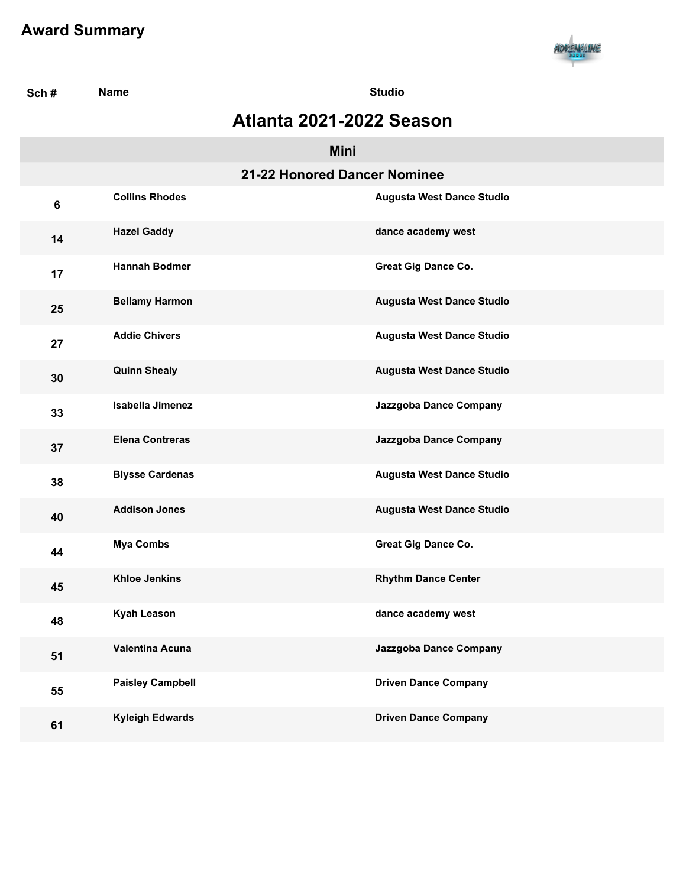

| Sch# | <b>Name</b>                  | <b>Studio</b>                    |
|------|------------------------------|----------------------------------|
|      | Atlanta 2021-2022 Season     |                                  |
|      | <b>Mini</b>                  |                                  |
|      | 21-22 Honored Dancer Nominee |                                  |
| 6    | <b>Collins Rhodes</b>        | <b>Augusta West Dance Studio</b> |
| 14   | <b>Hazel Gaddy</b>           | dance academy west               |
| 17   | <b>Hannah Bodmer</b>         | <b>Great Gig Dance Co.</b>       |
| 25   | <b>Bellamy Harmon</b>        | <b>Augusta West Dance Studio</b> |
| 27   | <b>Addie Chivers</b>         | <b>Augusta West Dance Studio</b> |
| 30   | <b>Quinn Shealy</b>          | Augusta West Dance Studio        |
| 33   | <b>Isabella Jimenez</b>      | Jazzgoba Dance Company           |
| 37   | <b>Elena Contreras</b>       | Jazzgoba Dance Company           |
| 38   | <b>Blysse Cardenas</b>       | <b>Augusta West Dance Studio</b> |
| 40   | <b>Addison Jones</b>         | <b>Augusta West Dance Studio</b> |
| 44   | <b>Mya Combs</b>             | <b>Great Gig Dance Co.</b>       |
| 45   | <b>Khloe Jenkins</b>         | <b>Rhythm Dance Center</b>       |
| 48   | <b>Kyah Leason</b>           | dance academy west               |
| 51   | Valentina Acuna              | Jazzgoba Dance Company           |
| 55   | <b>Paisley Campbell</b>      | <b>Driven Dance Company</b>      |
| 61   | <b>Kyleigh Edwards</b>       | <b>Driven Dance Company</b>      |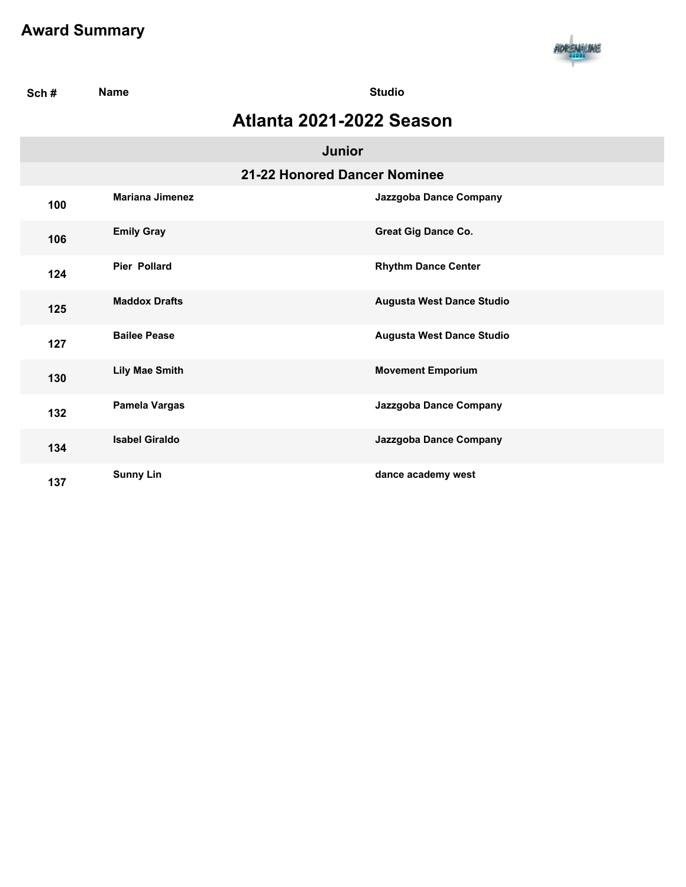

| Sch# | <b>Name</b>            | <b>Studio</b>                    |  |
|------|------------------------|----------------------------------|--|
|      |                        | Atlanta 2021-2022 Season         |  |
|      |                        | <b>Junior</b>                    |  |
|      |                        | 21-22 Honored Dancer Nominee     |  |
| 100  | <b>Mariana Jimenez</b> | Jazzgoba Dance Company           |  |
| 106  | <b>Emily Gray</b>      | <b>Great Gig Dance Co.</b>       |  |
| 124  | <b>Pier Pollard</b>    | <b>Rhythm Dance Center</b>       |  |
| 125  | <b>Maddox Drafts</b>   | <b>Augusta West Dance Studio</b> |  |
| 127  | <b>Bailee Pease</b>    | <b>Augusta West Dance Studio</b> |  |
| 130  | <b>Lily Mae Smith</b>  | <b>Movement Emporium</b>         |  |
| 132  | Pamela Vargas          | Jazzgoba Dance Company           |  |
| 134  | <b>Isabel Giraldo</b>  | Jazzgoba Dance Company           |  |
| 137  | <b>Sunny Lin</b>       | dance academy west               |  |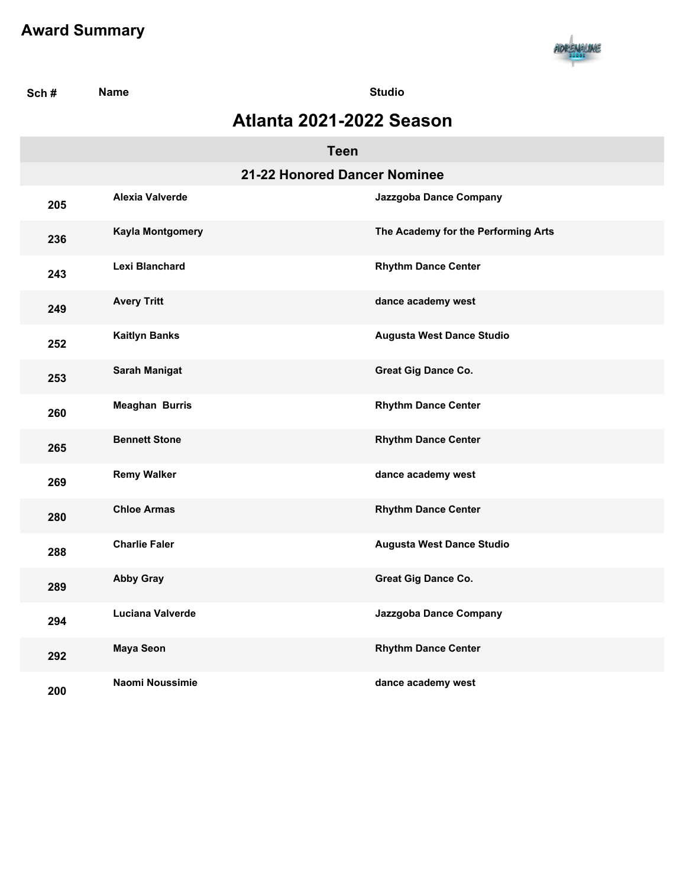

| Sch# | <b>Name</b>                  | <b>Studio</b>                       |
|------|------------------------------|-------------------------------------|
|      | Atlanta 2021-2022 Season     |                                     |
|      | <b>Teen</b>                  |                                     |
|      | 21-22 Honored Dancer Nominee |                                     |
| 205  | <b>Alexia Valverde</b>       | Jazzgoba Dance Company              |
| 236  | Kayla Montgomery             | The Academy for the Performing Arts |
| 243  | Lexi Blanchard               | <b>Rhythm Dance Center</b>          |
| 249  | <b>Avery Tritt</b>           | dance academy west                  |
| 252  | <b>Kaitlyn Banks</b>         | <b>Augusta West Dance Studio</b>    |
| 253  | <b>Sarah Manigat</b>         | Great Gig Dance Co.                 |
| 260  | <b>Meaghan Burris</b>        | <b>Rhythm Dance Center</b>          |
| 265  | <b>Bennett Stone</b>         | <b>Rhythm Dance Center</b>          |
| 269  | <b>Remy Walker</b>           | dance academy west                  |
| 280  | <b>Chloe Armas</b>           | <b>Rhythm Dance Center</b>          |
| 288  | <b>Charlie Faler</b>         | <b>Augusta West Dance Studio</b>    |
| 289  | <b>Abby Gray</b>             | <b>Great Gig Dance Co.</b>          |
| 294  | Luciana Valverde             | Jazzgoba Dance Company              |
| 292  | <b>Maya Seon</b>             | <b>Rhythm Dance Center</b>          |
| 200  | Naomi Noussimie              | dance academy west                  |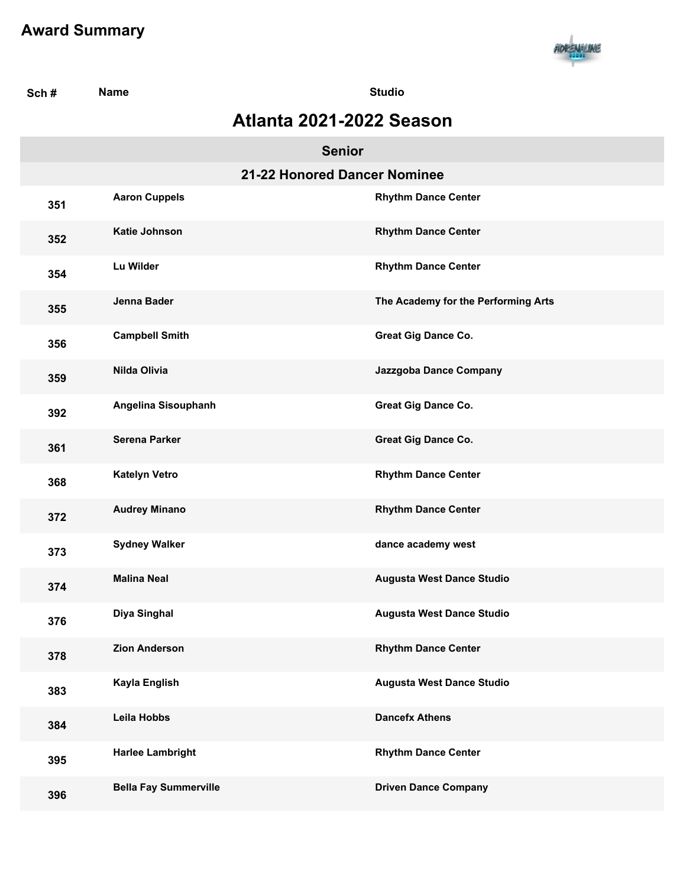

| Sch#                     | <b>Name</b>                  |                              | <b>Studio</b>                       |  |  |
|--------------------------|------------------------------|------------------------------|-------------------------------------|--|--|
| Atlanta 2021-2022 Season |                              |                              |                                     |  |  |
|                          |                              | <b>Senior</b>                |                                     |  |  |
|                          |                              | 21-22 Honored Dancer Nominee |                                     |  |  |
| 351                      | <b>Aaron Cuppels</b>         |                              | <b>Rhythm Dance Center</b>          |  |  |
| 352                      | Katie Johnson                |                              | <b>Rhythm Dance Center</b>          |  |  |
| 354                      | Lu Wilder                    |                              | <b>Rhythm Dance Center</b>          |  |  |
| 355                      | Jenna Bader                  |                              | The Academy for the Performing Arts |  |  |
| 356                      | <b>Campbell Smith</b>        |                              | <b>Great Gig Dance Co.</b>          |  |  |
| 359                      | <b>Nilda Olivia</b>          |                              | Jazzgoba Dance Company              |  |  |
| 392                      | Angelina Sisouphanh          |                              | <b>Great Gig Dance Co.</b>          |  |  |
| 361                      | <b>Serena Parker</b>         |                              | Great Gig Dance Co.                 |  |  |
| 368                      | <b>Katelyn Vetro</b>         |                              | <b>Rhythm Dance Center</b>          |  |  |
| 372                      | <b>Audrey Minano</b>         |                              | <b>Rhythm Dance Center</b>          |  |  |
| 373                      | <b>Sydney Walker</b>         |                              | dance academy west                  |  |  |
| 374                      | <b>Malina Neal</b>           |                              | <b>Augusta West Dance Studio</b>    |  |  |
| 376                      | Diya Singhal                 |                              | <b>Augusta West Dance Studio</b>    |  |  |
| 378                      | <b>Zion Anderson</b>         |                              | <b>Rhythm Dance Center</b>          |  |  |
| 383                      | Kayla English                |                              | Augusta West Dance Studio           |  |  |
| 384                      | <b>Leila Hobbs</b>           |                              | <b>Dancefx Athens</b>               |  |  |
| 395                      | <b>Harlee Lambright</b>      |                              | <b>Rhythm Dance Center</b>          |  |  |
| 396                      | <b>Bella Fay Summerville</b> |                              | <b>Driven Dance Company</b>         |  |  |